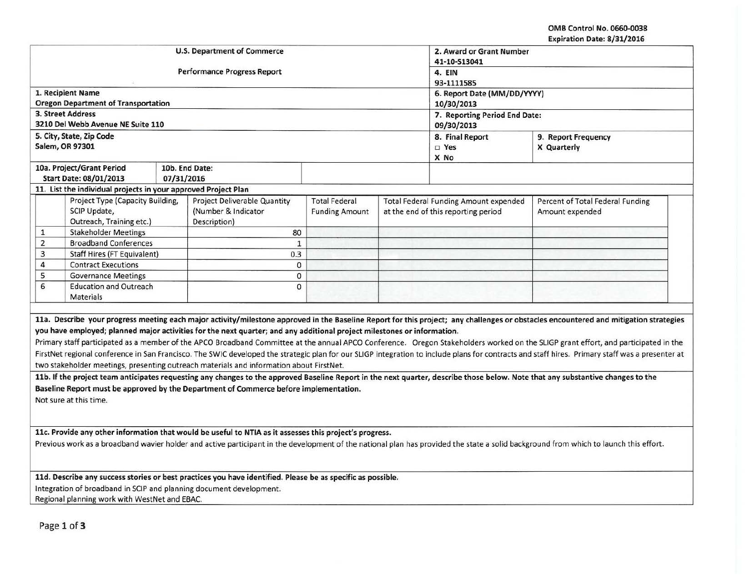OMB Control No. 0660-0038 Expiration Date: 8/31/2016

|                                               |                                                                |            | <b>U.S. Department of Commerce</b>                                                                                      |                       | 2. Award or Grant Number<br>41-10-S13041<br>4. EIN<br>93-1111585 |                                              |                                                                                                                                                                                                 |  |
|-----------------------------------------------|----------------------------------------------------------------|------------|-------------------------------------------------------------------------------------------------------------------------|-----------------------|------------------------------------------------------------------|----------------------------------------------|-------------------------------------------------------------------------------------------------------------------------------------------------------------------------------------------------|--|
|                                               |                                                                |            | <b>Performance Progress Report</b>                                                                                      |                       |                                                                  |                                              |                                                                                                                                                                                                 |  |
|                                               |                                                                |            |                                                                                                                         |                       |                                                                  |                                              |                                                                                                                                                                                                 |  |
|                                               | 1. Recipient Name                                              |            |                                                                                                                         |                       | 6. Report Date (MM/DD/YYYY)                                      |                                              |                                                                                                                                                                                                 |  |
|                                               | <b>Oregon Department of Transportation</b>                     |            |                                                                                                                         |                       | 10/30/2013                                                       |                                              |                                                                                                                                                                                                 |  |
|                                               | <b>3. Street Address</b>                                       |            |                                                                                                                         |                       | 7. Reporting Period End Date:                                    |                                              |                                                                                                                                                                                                 |  |
|                                               | 3210 Del Webb Avenue NE Suite 110                              |            |                                                                                                                         |                       | 09/30/2013                                                       |                                              |                                                                                                                                                                                                 |  |
|                                               | 5. City, State, Zip Code<br>Salem, OR 97301                    |            |                                                                                                                         |                       |                                                                  | 8. Final Report<br>□ Yes                     | 9. Report Frequency<br>X Quarterly                                                                                                                                                              |  |
|                                               | 10a. Project/Grant Period                                      |            | 10b. End Date:                                                                                                          |                       |                                                                  | X No                                         |                                                                                                                                                                                                 |  |
|                                               | Start Date: 08/01/2013                                         | 07/31/2016 |                                                                                                                         |                       |                                                                  |                                              |                                                                                                                                                                                                 |  |
|                                               | 11. List the individual projects in your approved Project Plan |            |                                                                                                                         |                       |                                                                  |                                              |                                                                                                                                                                                                 |  |
|                                               | Project Type (Capacity Building,                               |            | Project Deliverable Quantity                                                                                            | <b>Total Federal</b>  |                                                                  | <b>Total Federal Funding Amount expended</b> | Percent of Total Federal Funding                                                                                                                                                                |  |
|                                               | SCIP Update,<br>Outreach, Training etc.)                       |            | (Number & Indicator<br>Description)                                                                                     | <b>Funding Amount</b> |                                                                  | at the end of this reporting period          | Amount expended                                                                                                                                                                                 |  |
| $\mathbf{1}$                                  | <b>Stakeholder Meetings</b>                                    |            | 80                                                                                                                      |                       |                                                                  |                                              |                                                                                                                                                                                                 |  |
| $\overline{2}$                                | <b>Broadband Conferences</b>                                   |            | $\mathbf{1}$                                                                                                            |                       |                                                                  |                                              |                                                                                                                                                                                                 |  |
| 3                                             | <b>Staff Hires (FT Equivalent)</b>                             |            | 0.3                                                                                                                     |                       |                                                                  |                                              |                                                                                                                                                                                                 |  |
| $\overline{\mathbf{4}}$                       | <b>Contract Executions</b>                                     |            | $\mathbf 0$                                                                                                             |                       |                                                                  |                                              |                                                                                                                                                                                                 |  |
| 5                                             | <b>Governance Meetings</b>                                     |            | $\mathbf 0$                                                                                                             |                       |                                                                  |                                              |                                                                                                                                                                                                 |  |
| 6                                             | <b>Education and Outreach</b>                                  |            | 0                                                                                                                       |                       |                                                                  |                                              |                                                                                                                                                                                                 |  |
|                                               | Materials                                                      |            |                                                                                                                         |                       |                                                                  |                                              |                                                                                                                                                                                                 |  |
|                                               |                                                                |            |                                                                                                                         |                       |                                                                  |                                              | 11a. Describe your progress meeting each major activity/milestone approved in the Baseline Report for this project; any challenges or obstacles encountered and mitigation strategies           |  |
|                                               |                                                                |            | you have employed; planned major activities for the next quarter; and any additional project milestones or information. |                       |                                                                  |                                              |                                                                                                                                                                                                 |  |
|                                               |                                                                |            |                                                                                                                         |                       |                                                                  |                                              | Primary staff participated as a member of the APCO Broadband Committee at the annual APCO Conference. Oregon Stakeholders worked on the SLIGP grant effort, and participated in the             |  |
|                                               |                                                                |            |                                                                                                                         |                       |                                                                  |                                              | FirstNet regional conference in San Francisco. The SWIC developed the strategic plan for our SLIGP integration to include plans for contracts and staff hires. Primary staff was a presenter at |  |
|                                               |                                                                |            | two stakeholder meetings, presenting outreach materials and information about FirstNet.                                 |                       |                                                                  |                                              |                                                                                                                                                                                                 |  |
|                                               |                                                                |            |                                                                                                                         |                       |                                                                  |                                              | 11b. If the project team anticipates requesting any changes to the approved Baseline Report in the next quarter, describe those below. Note that any substantive changes to the                 |  |
|                                               |                                                                |            | Baseline Report must be approved by the Department of Commerce before implementation.                                   |                       |                                                                  |                                              |                                                                                                                                                                                                 |  |
| Not sure at this time.                        |                                                                |            |                                                                                                                         |                       |                                                                  |                                              |                                                                                                                                                                                                 |  |
|                                               |                                                                |            |                                                                                                                         |                       |                                                                  |                                              |                                                                                                                                                                                                 |  |
|                                               |                                                                |            | 11c. Provide any other information that would be useful to NTIA as it assesses this project's progress.                 |                       |                                                                  |                                              |                                                                                                                                                                                                 |  |
|                                               |                                                                |            |                                                                                                                         |                       |                                                                  |                                              | Previous work as a broadband wavier holder and active participant in the development of the national plan has provided the state a solid background from which to launch this effort.           |  |
|                                               |                                                                |            |                                                                                                                         |                       |                                                                  |                                              |                                                                                                                                                                                                 |  |
|                                               |                                                                |            | 11d. Describe any success stories or best practices you have identified. Please be as specific as possible.             |                       |                                                                  |                                              |                                                                                                                                                                                                 |  |
|                                               |                                                                |            | Integration of broadband in SCIP and planning document development.                                                     |                       |                                                                  |                                              |                                                                                                                                                                                                 |  |
| Regional planning work with WestNet and EBAC. |                                                                |            |                                                                                                                         |                       |                                                                  |                                              |                                                                                                                                                                                                 |  |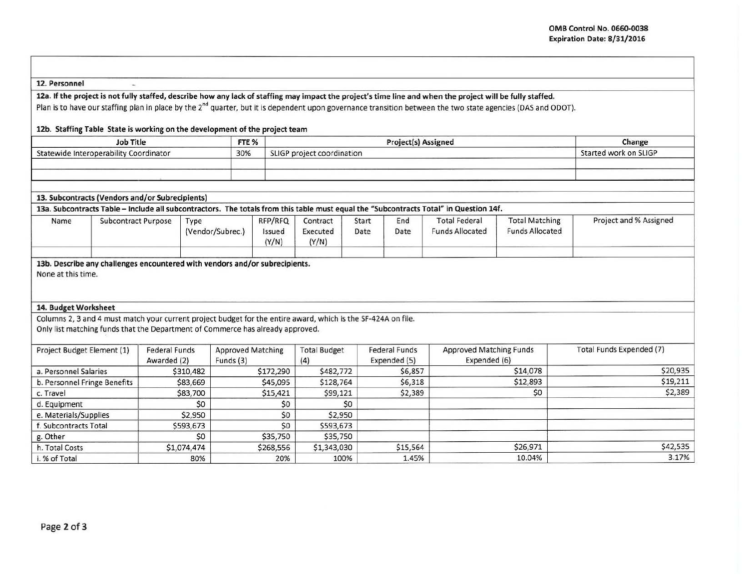## 12. Personnel -

## 12a. If the project is not fully staffed, describe how any lack of staffing may impact the project's time line and when the project will be fully staffed.

Plan is to have our staffing plan in place by the 2<sup>nd</sup> quarter, but it is dependent upon governance transition between the two state agencies (DAS and ODOT).

## 12b. Staffing Table State is working on the development of the project team

| <b>Job Title</b>                                                                                                                                                                                                        |                                    |                                                  |                  | FTE %                    |                            | Change                               |                                                |                        |                          |
|-------------------------------------------------------------------------------------------------------------------------------------------------------------------------------------------------------------------------|------------------------------------|--------------------------------------------------|------------------|--------------------------|----------------------------|--------------------------------------|------------------------------------------------|------------------------|--------------------------|
| Statewide Interoperability Coordinator                                                                                                                                                                                  |                                    |                                                  | 30%              |                          | SLIGP project coordination |                                      |                                                |                        | Started work on SLIGP    |
|                                                                                                                                                                                                                         |                                    |                                                  |                  |                          |                            |                                      |                                                |                        |                          |
|                                                                                                                                                                                                                         |                                    |                                                  |                  |                          |                            |                                      |                                                |                        |                          |
| 13. Subcontracts (Vendors and/or Subrecipients)                                                                                                                                                                         |                                    |                                                  |                  |                          |                            |                                      |                                                |                        |                          |
| 13a. Subcontracts Table - Include all subcontractors. The totals from this table must equal the "Subcontracts Total" in Question 14f.                                                                                   |                                    |                                                  |                  |                          |                            |                                      |                                                |                        |                          |
| Name                                                                                                                                                                                                                    | <b>Subcontract Purpose</b><br>Type |                                                  |                  | RFP/RFQ                  | Contract                   | Start<br>End                         | <b>Total Federal</b>                           | <b>Total Matching</b>  | Project and % Assigned   |
|                                                                                                                                                                                                                         |                                    |                                                  | (Vendor/Subrec.) | Issued<br>(Y/N)          | Executed<br>(Y/N)          | Date<br>Date                         | <b>Funds Allocated</b>                         | <b>Funds Allocated</b> |                          |
| 14. Budget Worksheet<br>Columns 2, 3 and 4 must match your current project budget for the entire award, which is the SF-424A on file.<br>Only list matching funds that the Department of Commerce has already approved. |                                    |                                                  |                  |                          |                            |                                      |                                                |                        |                          |
| Project Budget Element (1)                                                                                                                                                                                              |                                    | <b>Federal Funds</b><br>Funds (3)<br>Awarded (2) |                  | <b>Approved Matching</b> | <b>Total Budget</b><br>(4) | <b>Federal Funds</b><br>Expended (5) | <b>Approved Matching Funds</b><br>Expended (6) |                        | Total Funds Expended (7) |
| a. Personnel Salaries                                                                                                                                                                                                   |                                    | \$310,482                                        |                  | \$172,290                | \$482,772                  | \$6,857                              | \$14,078                                       |                        | \$20,935                 |
| b. Personnel Fringe Benefits                                                                                                                                                                                            |                                    | \$83,669                                         |                  | \$45,095                 | \$128,764                  | \$6,318                              | \$12,893                                       |                        | \$19,211                 |
| c. Travel                                                                                                                                                                                                               |                                    | \$83,700                                         |                  | \$15,421                 | \$99,121                   | \$2,389                              |                                                | \$0                    | \$2,389                  |
| d. Equipment                                                                                                                                                                                                            |                                    | \$0                                              |                  | \$0                      | \$0                        |                                      |                                                |                        |                          |
| e. Materials/Supplies                                                                                                                                                                                                   |                                    | \$2,950                                          |                  | \$0                      | \$2,950                    |                                      |                                                |                        |                          |
| f. Subcontracts Total                                                                                                                                                                                                   |                                    | \$593,673                                        |                  | \$0                      | \$593,673                  |                                      |                                                |                        |                          |
| g. Other                                                                                                                                                                                                                |                                    | \$0                                              |                  | \$35,750                 | \$35,750                   |                                      |                                                |                        |                          |
| h. Total Costs                                                                                                                                                                                                          |                                    | \$1,074,474                                      |                  | \$268,556                | \$1,343,030                | \$15,564                             |                                                | \$26,971               | \$42,535                 |
| i. % of Total                                                                                                                                                                                                           |                                    | 80%                                              |                  | 20%                      | 100%                       | 1.45%                                |                                                | 10.04%                 | 3.17%                    |